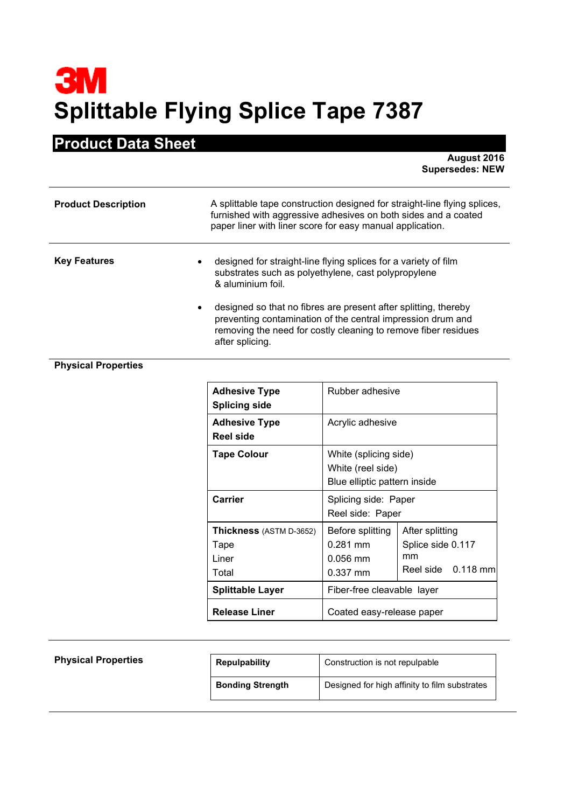## **3M Splittable Flying Splice Tape 7387**

## **Product Data Sheet**

**August 2016 Supersedes: NEW**

| <b>Product Description</b>       | A splittable tape construction designed for straight-line flying splices,<br>furnished with aggressive adhesives on both sides and a coated<br>paper liner with liner score for easy manual application.            |
|----------------------------------|---------------------------------------------------------------------------------------------------------------------------------------------------------------------------------------------------------------------|
| <b>Key Features</b><br>$\bullet$ | designed for straight-line flying splices for a variety of film<br>substrates such as polyethylene, cast polypropylene<br>& aluminium foil.                                                                         |
| $\bullet$                        | designed so that no fibres are present after splitting, thereby<br>preventing contamination of the central impression drum and<br>removing the need for costly cleaning to remove fiber residues<br>after splicing. |

## **Physical Properties**

| <b>Adhesive Type</b><br><b>Splicing side</b>             | Rubber adhesive                                                            |                                                                  |
|----------------------------------------------------------|----------------------------------------------------------------------------|------------------------------------------------------------------|
| <b>Adhesive Type</b><br><b>Reel side</b>                 | Acrylic adhesive                                                           |                                                                  |
| <b>Tape Colour</b>                                       | White (splicing side)<br>White (reel side)<br>Blue elliptic pattern inside |                                                                  |
| Carrier                                                  | Splicing side: Paper<br>Reel side: Paper                                   |                                                                  |
| <b>Thickness</b> (ASTM D-3652)<br>Tape<br>Liner<br>Total | Before splitting<br>$0.281$ mm<br>$0.056$ mm<br>$0.337$ mm                 | After splitting<br>Splice side 0.117<br>mm<br>Reel side 0.118 mm |
| <b>Splittable Layer</b>                                  | Fiber-free cleavable layer                                                 |                                                                  |
| <b>Release Liner</b>                                     | Coated easy-release paper                                                  |                                                                  |

| <b>Physical Properties</b> | <b>Repulpability</b>    | Construction is not repulpable                |
|----------------------------|-------------------------|-----------------------------------------------|
|                            | <b>Bonding Strength</b> | Designed for high affinity to film substrates |